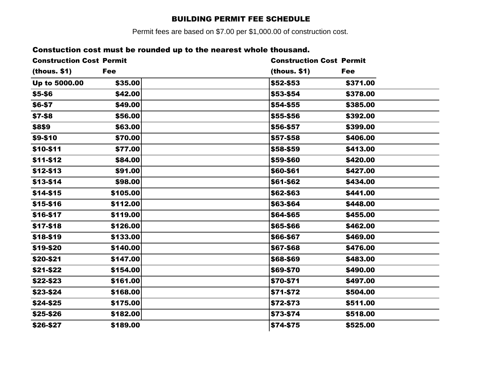## BUILDING PERMIT FEE SCHEDULE

Permit fees are based on \$7.00 per \$1,000.00 of construction cost.

## Constuction cost must be rounded up to the nearest whole thousand.

| <b>Construction Cost Permit</b> |            | <b>Construction Cost Permit</b> |
|---------------------------------|------------|---------------------------------|
| (hous. \$1)                     | <b>Fee</b> | (thous. \$1)<br><b>Fee</b>      |
| Up to 5000.00                   | \$35.00    | \$52-\$53<br>\$371.00           |
| \$5-\$6                         | \$42.00    | \$53-\$54<br>\$378.00           |
| \$6-\$7                         | \$49.00    | \$54-\$55<br>\$385.00           |
| \$7-\$8                         | \$56.00    | \$55-\$56<br>\$392.00           |
| \$8\$9                          | \$63.00    | \$56-\$57<br>\$399.00           |
| \$9-\$10                        | \$70.00    | \$57-\$58<br>\$406.00           |
| \$10-\$11                       | \$77.00    | \$58-\$59<br>\$413.00           |
| \$11-\$12                       | \$84.00    | \$59-\$60<br>\$420.00           |
| \$12-\$13                       | \$91.00    | \$60-\$61<br>\$427.00           |
| \$13-\$14                       | \$98.00    | \$61-\$62<br>\$434.00           |
| \$14-\$15                       | \$105.00   | \$62-\$63<br>\$441.00           |
| \$15-\$16                       | \$112.00   | \$63-\$64<br>\$448.00           |
| \$16-\$17                       | \$119.00   | \$64-\$65<br>\$455.00           |
| \$17-\$18                       | \$126.00   | \$65-\$66<br>\$462.00           |
| \$18-\$19                       | \$133.00   | \$66-\$67<br>\$469.00           |
| \$19-\$20                       | \$140.00   | \$67-\$68<br>\$476.00           |
| \$20-\$21                       | \$147.00   | \$68-\$69<br>\$483.00           |
| \$21-\$22                       | \$154.00   | \$69-\$70<br>\$490.00           |
| \$22-\$23                       | \$161.00   | \$70-\$71<br>\$497.00           |
| \$23-\$24                       | \$168.00   | \$71-\$72<br>\$504.00           |
| \$24-\$25                       | \$175.00   | \$511.00<br>\$72-\$73           |
| \$25-\$26                       | \$182.00   | \$518.00<br>\$73-\$74           |
| \$26-\$27                       | \$189.00   | \$74-\$75<br>\$525.00           |